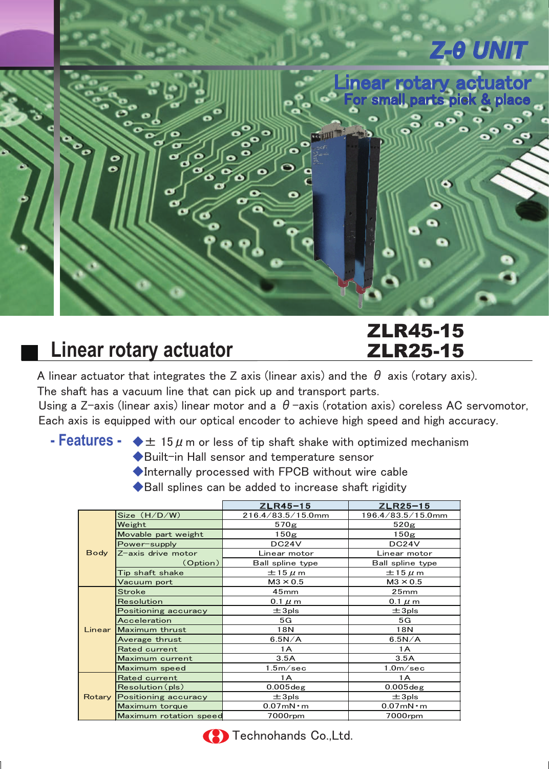

# **Linear rotary actuator**

### ZLR45-15 ZLR25-15

A linear actuator that integrates the Z axis (linear axis) and the  $\theta$  axis (rotary axis). The shaft has a vacuum line that can pick up and transport parts.

Using a Z-axis (linear axis) linear motor and a  $\theta$ -axis (rotation axis) coreless AC servomotor, Each axis is equipped with our optical encoder to achieve high speed and high accuracy.

- **Features -**  $\blacklozenge \pm 15 \mu$  m or less of tip shaft shake with optimized mechanism
	- ◆Built-in Hall sensor and temperature sensor

◆Internally processed with FPCB without wire cable

◆Ball splines can be added to increase shaft rigidity

|             |                             | $ZLR45-15$            | $ZLR25-15$            |  |  |
|-------------|-----------------------------|-----------------------|-----------------------|--|--|
| <b>Body</b> | Size (H/D/W)                | 216.4/83.5/15.0mm     | 196.4/83.5/15.0mm     |  |  |
|             | Weight                      | 570g                  | 520 <sub>g</sub>      |  |  |
|             | Movable part weight         | 150 <sub>g</sub>      | 150 <sub>g</sub>      |  |  |
|             | Power-supply                | DC24V                 | DC24V                 |  |  |
|             | Z-axis drive motor          | Linear motor          | Linear motor          |  |  |
|             | (Option)                    | Ball spline type      | Ball spline type      |  |  |
|             | Tip shaft shake             | $\pm$ 15 $\mu$ m      | $\pm$ 15 $\mu$ m      |  |  |
|             | Vacuum port                 | $M3 \times 0.5$       | $M3 \times 0.5$       |  |  |
|             | <b>Stroke</b>               | 45 <sub>mm</sub>      | 25mm                  |  |  |
|             | Resolution                  | 0.1 $\mu$ m           | $0.1 \mu m$           |  |  |
|             | Positioning accuracy        | $\pm 3$ pls           | $\pm$ 3pls            |  |  |
|             | Acceleration                | 5G                    | 5G                    |  |  |
|             | Linear Maximum thrust       | 18N                   | 18N                   |  |  |
|             | Average thrust              | 6.5N/A                | 6.5N/A                |  |  |
|             | Rated current               | 1 A                   | 1 A                   |  |  |
|             | Maximum current             | 3.5A                  | 3.5A                  |  |  |
|             | Maximum speed               | 1.5 <sub>m</sub> /sec | 1.0 <sub>m</sub> /sec |  |  |
|             | Rated current               | 1A                    | 1A                    |  |  |
|             | Resolution(pls)             | $0.005$ deg           | $0.005$ deg           |  |  |
|             | Rotary Positioning accuracy | $±3$ pls              | $±3$ pls              |  |  |
|             | Maximum torque              | $0.07$ mN $\cdot$ m   | $0.07$ m $N \cdot m$  |  |  |
|             | Maximum rotation speed      | 7000rpm               | 7000rpm               |  |  |